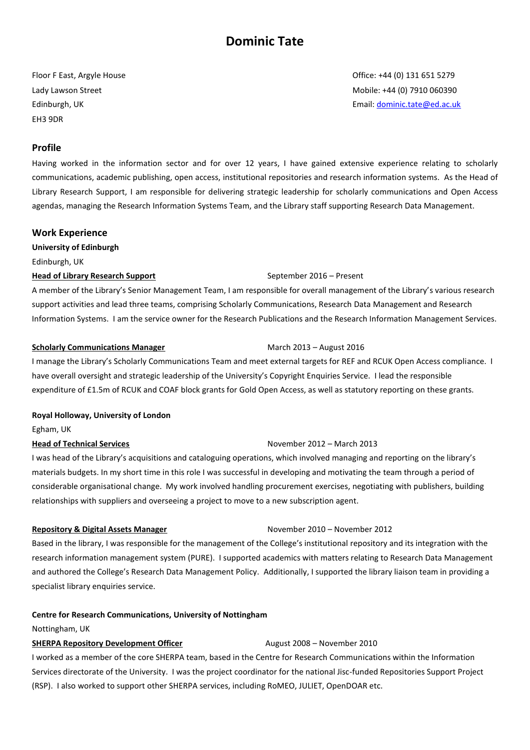# **Dominic Tate**

EH3 9DR

### **Profile**

Having worked in the information sector and for over 12 years, I have gained extensive experience relating to scholarly communications, academic publishing, open access, institutional repositories and research information systems. As the Head of Library Research Support, I am responsible for delivering strategic leadership for scholarly communications and Open Access agendas, managing the Research Information Systems Team, and the Library staff supporting Research Data Management.

### **Work Experience**

**University of Edinburgh** Edinburgh, UK

### **Head of Library Research Support** September 2016 – Present

A member of the Library's Senior Management Team, I am responsible for overall management of the Library's various research support activities and lead three teams, comprising Scholarly Communications, Research Data Management and Research Information Systems. I am the service owner for the Research Publications and the Research Information Management Services.

### **Scholarly Communications Manager** March 2013 – August 2016

I manage the Library's Scholarly Communications Team and meet external targets for REF and RCUK Open Access compliance. I have overall oversight and strategic leadership of the University's Copyright Enquiries Service. I lead the responsible expenditure of £1.5m of RCUK and COAF block grants for Gold Open Access, as well as statutory reporting on these grants.

### **Royal Holloway, University of London**

Egham, UK

## **Head of Technical Services** November 2012 – March 2013

I was head of the Library's acquisitions and cataloguing operations, which involved managing and reporting on the library's materials budgets. In my short time in this role I was successful in developing and motivating the team through a period of considerable organisational change. My work involved handling procurement exercises, negotiating with publishers, building relationships with suppliers and overseeing a project to move to a new subscription agent.

### **Repository & Digital Assets Manager November 2010 – November 2012**

Based in the library, I was responsible for the management of the College's institutional repository and its integration with the research information management system (PURE). I supported academics with matters relating to Research Data Management and authored the College's Research Data Management Policy. Additionally, I supported the library liaison team in providing a specialist library enquiries service.

## **Centre for Research Communications, University of Nottingham**

### Nottingham, UK

## **SHERPA Repository Development Officer Fig. 2008 – November 2010**

I worked as a member of the core SHERPA team, based in the Centre for Research Communications within the Information Services directorate of the University. I was the project coordinator for the national Jisc-funded Repositories Support Project (RSP). I also worked to support other SHERPA services, including RoMEO, JULIET, OpenDOAR etc.

Floor F East, Argyle House Cases of East, Argyle House Cases of East, Argyle House Cases of East, Argyle House Lady Lawson Street Mobile: +44 (0) 7910 060390 Edinburgh, UK Email: [dominic.tate@ed.ac.uk](mailto:dominic.tate@ed.ac.uk)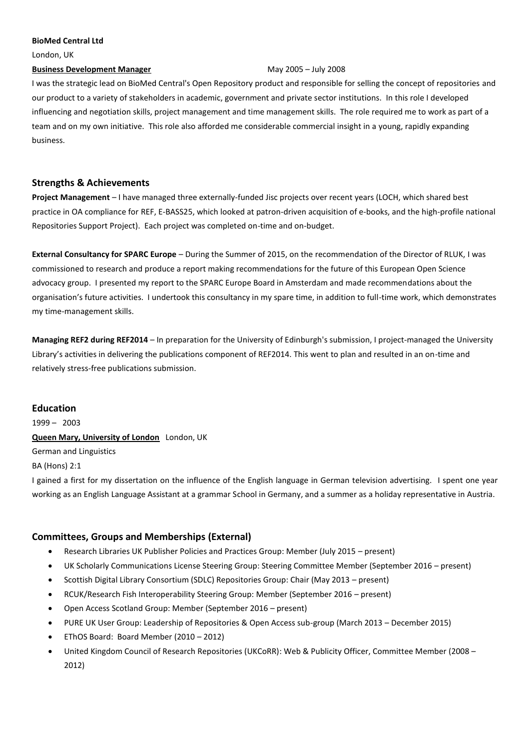### **BioMed Central Ltd**

London, UK

### **Business Development Manager** May 2005 – July 2008

I was the strategic lead on BioMed Central's Open Repository product and responsible for selling the concept of repositories and our product to a variety of stakeholders in academic, government and private sector institutions. In this role I developed influencing and negotiation skills, project management and time management skills. The role required me to work as part of a team and on my own initiative. This role also afforded me considerable commercial insight in a young, rapidly expanding business.

## **Strengths & Achievements**

**Project Management** – I have managed three externally-funded Jisc projects over recent years (LOCH, which shared best practice in OA compliance for REF, E-BASS25, which looked at patron-driven acquisition of e-books, and the high-profile national Repositories Support Project). Each project was completed on-time and on-budget.

**External Consultancy for SPARC Europe** – During the Summer of 2015, on the recommendation of the Director of RLUK, I was commissioned to research and produce a report making recommendations for the future of this European Open Science advocacy group. I presented my report to the SPARC Europe Board in Amsterdam and made recommendations about the organisation's future activities. I undertook this consultancy in my spare time, in addition to full-time work, which demonstrates my time-management skills.

**Managing REF2 during REF2014** – In preparation for the University of Edinburgh's submission, I project-managed the University Library's activities in delivering the publications component of REF2014. This went to plan and resulted in an on-time and relatively stress-free publications submission.

## **Education**

1999 – 2003 **Queen Mary, University of London** London, UK German and Linguistics BA (Hons) 2:1

I gained a first for my dissertation on the influence of the English language in German television advertising. I spent one year working as an English Language Assistant at a grammar School in Germany, and a summer as a holiday representative in Austria.

## **Committees, Groups and Memberships (External)**

- Research Libraries UK Publisher Policies and Practices Group: Member (July 2015 present)
- UK Scholarly Communications License Steering Group: Steering Committee Member (September 2016 present)
- Scottish Digital Library Consortium (SDLC) Repositories Group: Chair (May 2013 present)
- RCUK/Research Fish Interoperability Steering Group: Member (September 2016 present)
- Open Access Scotland Group: Member (September 2016 present)
- PURE UK User Group: Leadership of Repositories & Open Access sub-group (March 2013 December 2015)
- EThOS Board: Board Member (2010 2012)
- United Kingdom Council of Research Repositories (UKCoRR): Web & Publicity Officer, Committee Member (2008 2012)